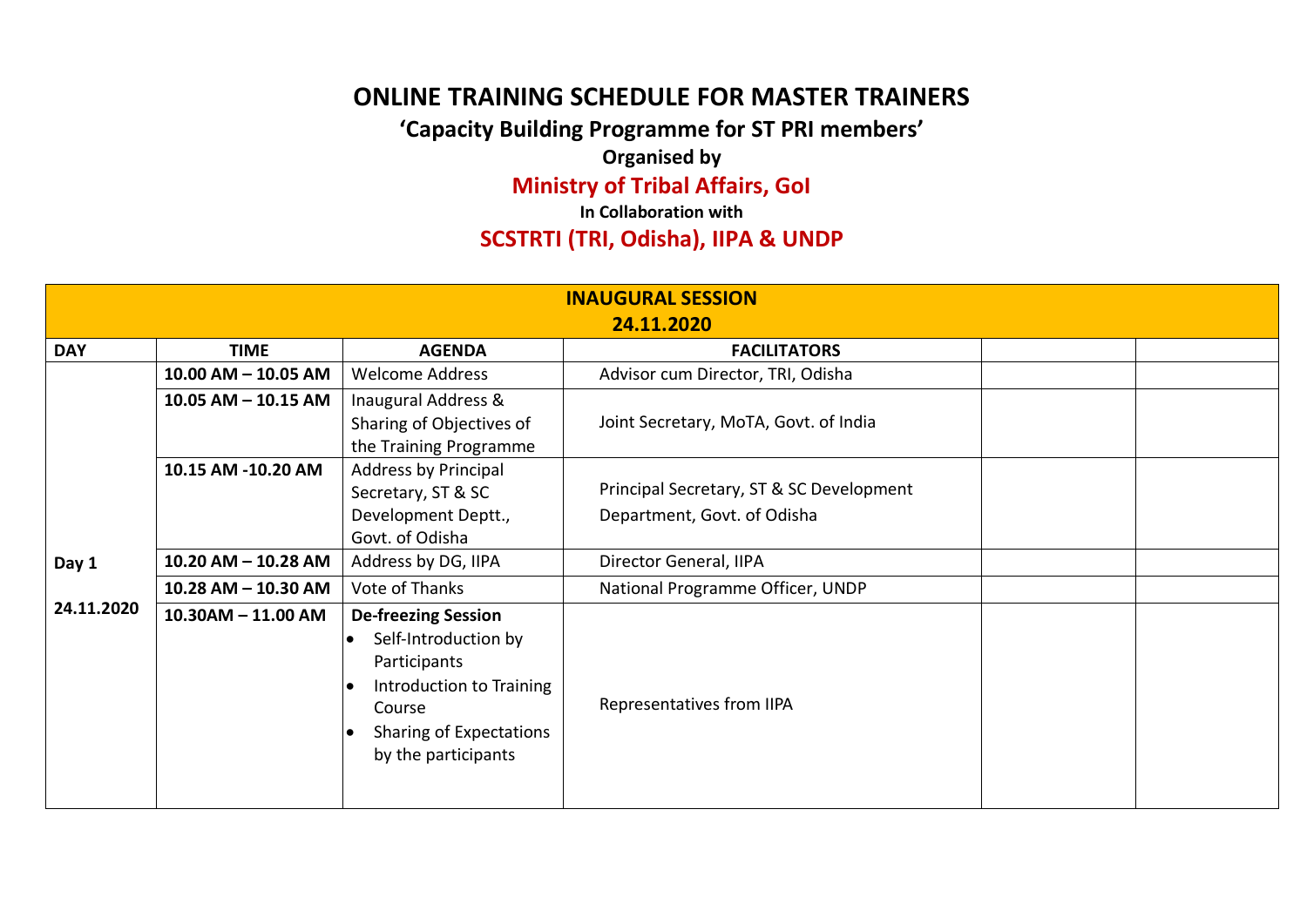## **ONLINE TRAINING SCHEDULE FOR MASTER TRAINERS**

**'Capacity Building Programme for ST PRI members'**

**Organised by** 

**Ministry of Tribal Affairs, GoI** 

**In Collaboration with**

## **SCSTRTI (TRI, Odisha), IIPA & UNDP**

| <b>INAUGURAL SESSION</b>                                                        |                         |                                                                                                                                                                   |                                                                         |  |  |  |  |
|---------------------------------------------------------------------------------|-------------------------|-------------------------------------------------------------------------------------------------------------------------------------------------------------------|-------------------------------------------------------------------------|--|--|--|--|
| 24.11.2020<br><b>DAY</b><br><b>TIME</b><br><b>AGENDA</b><br><b>FACILITATORS</b> |                         |                                                                                                                                                                   |                                                                         |  |  |  |  |
|                                                                                 | $10.00$ AM $-$ 10.05 AM | <b>Welcome Address</b>                                                                                                                                            | Advisor cum Director, TRI, Odisha                                       |  |  |  |  |
|                                                                                 | $10.05$ AM $-$ 10.15 AM | Inaugural Address &<br>Sharing of Objectives of<br>the Training Programme                                                                                         | Joint Secretary, MoTA, Govt. of India                                   |  |  |  |  |
|                                                                                 | 10.15 AM -10.20 AM      | Address by Principal<br>Secretary, ST & SC<br>Development Deptt.,<br>Govt. of Odisha                                                                              | Principal Secretary, ST & SC Development<br>Department, Govt. of Odisha |  |  |  |  |
| Day 1                                                                           | 10.20 AM - 10.28 AM     | Address by DG, IIPA                                                                                                                                               | Director General, IIPA                                                  |  |  |  |  |
|                                                                                 | 10.28 AM - 10.30 AM     | Vote of Thanks                                                                                                                                                    | National Programme Officer, UNDP                                        |  |  |  |  |
| 24.11.2020                                                                      | $10.30$ AM $- 11.00$ AM | <b>De-freezing Session</b><br>Self-Introduction by<br>Participants<br>Introduction to Training<br>Course<br><b>Sharing of Expectations</b><br>by the participants | Representatives from IIPA                                               |  |  |  |  |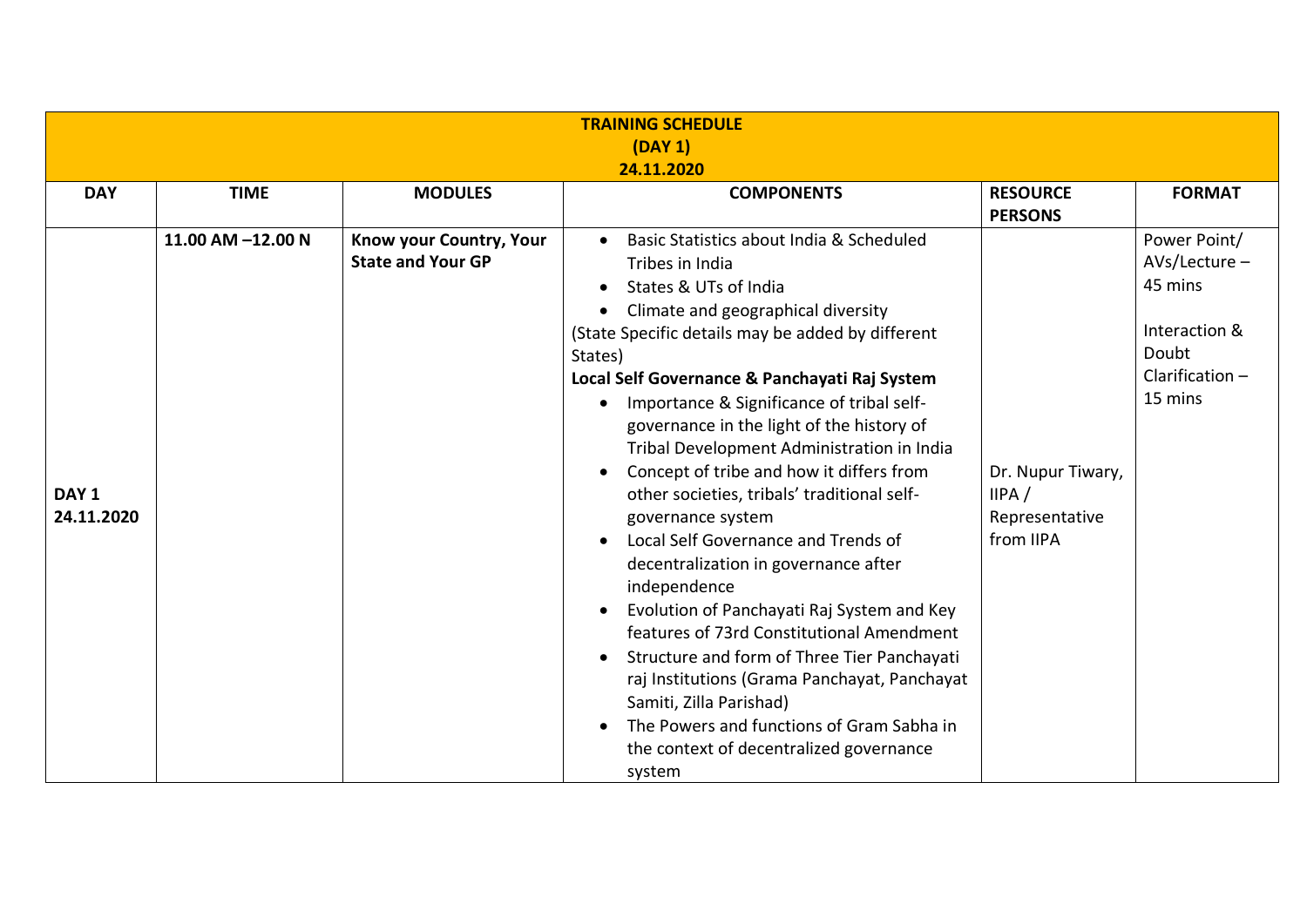| <b>TRAINING SCHEDULE</b>       |                   |                                                     |                                                                                                                                                                                                                                                                                                                                                                                                                                                                                                                                                                                                                                                                                                                                                                                                                                                                                                                           |                                                           |                                                                                                      |  |  |
|--------------------------------|-------------------|-----------------------------------------------------|---------------------------------------------------------------------------------------------------------------------------------------------------------------------------------------------------------------------------------------------------------------------------------------------------------------------------------------------------------------------------------------------------------------------------------------------------------------------------------------------------------------------------------------------------------------------------------------------------------------------------------------------------------------------------------------------------------------------------------------------------------------------------------------------------------------------------------------------------------------------------------------------------------------------------|-----------------------------------------------------------|------------------------------------------------------------------------------------------------------|--|--|
| (DAY 1)<br>24.11.2020          |                   |                                                     |                                                                                                                                                                                                                                                                                                                                                                                                                                                                                                                                                                                                                                                                                                                                                                                                                                                                                                                           |                                                           |                                                                                                      |  |  |
| <b>DAY</b>                     | <b>TIME</b>       | <b>MODULES</b>                                      | <b>COMPONENTS</b>                                                                                                                                                                                                                                                                                                                                                                                                                                                                                                                                                                                                                                                                                                                                                                                                                                                                                                         | <b>RESOURCE</b><br><b>PERSONS</b>                         | <b>FORMAT</b>                                                                                        |  |  |
| DAY <sub>1</sub><br>24.11.2020 | 11.00 AM -12.00 N | Know your Country, Your<br><b>State and Your GP</b> | Basic Statistics about India & Scheduled<br>Tribes in India<br>States & UTs of India<br>Climate and geographical diversity<br>(State Specific details may be added by different<br>States)<br>Local Self Governance & Panchayati Raj System<br>Importance & Significance of tribal self-<br>governance in the light of the history of<br>Tribal Development Administration in India<br>Concept of tribe and how it differs from<br>other societies, tribals' traditional self-<br>governance system<br>Local Self Governance and Trends of<br>decentralization in governance after<br>independence<br>Evolution of Panchayati Raj System and Key<br>features of 73rd Constitutional Amendment<br>Structure and form of Three Tier Panchayati<br>raj Institutions (Grama Panchayat, Panchayat<br>Samiti, Zilla Parishad)<br>The Powers and functions of Gram Sabha in<br>the context of decentralized governance<br>system | Dr. Nupur Tiwary,<br>IIPA/<br>Representative<br>from IIPA | Power Point/<br>$AVs/lecture -$<br>45 mins<br>Interaction &<br>Doubt<br>Clarification $-$<br>15 mins |  |  |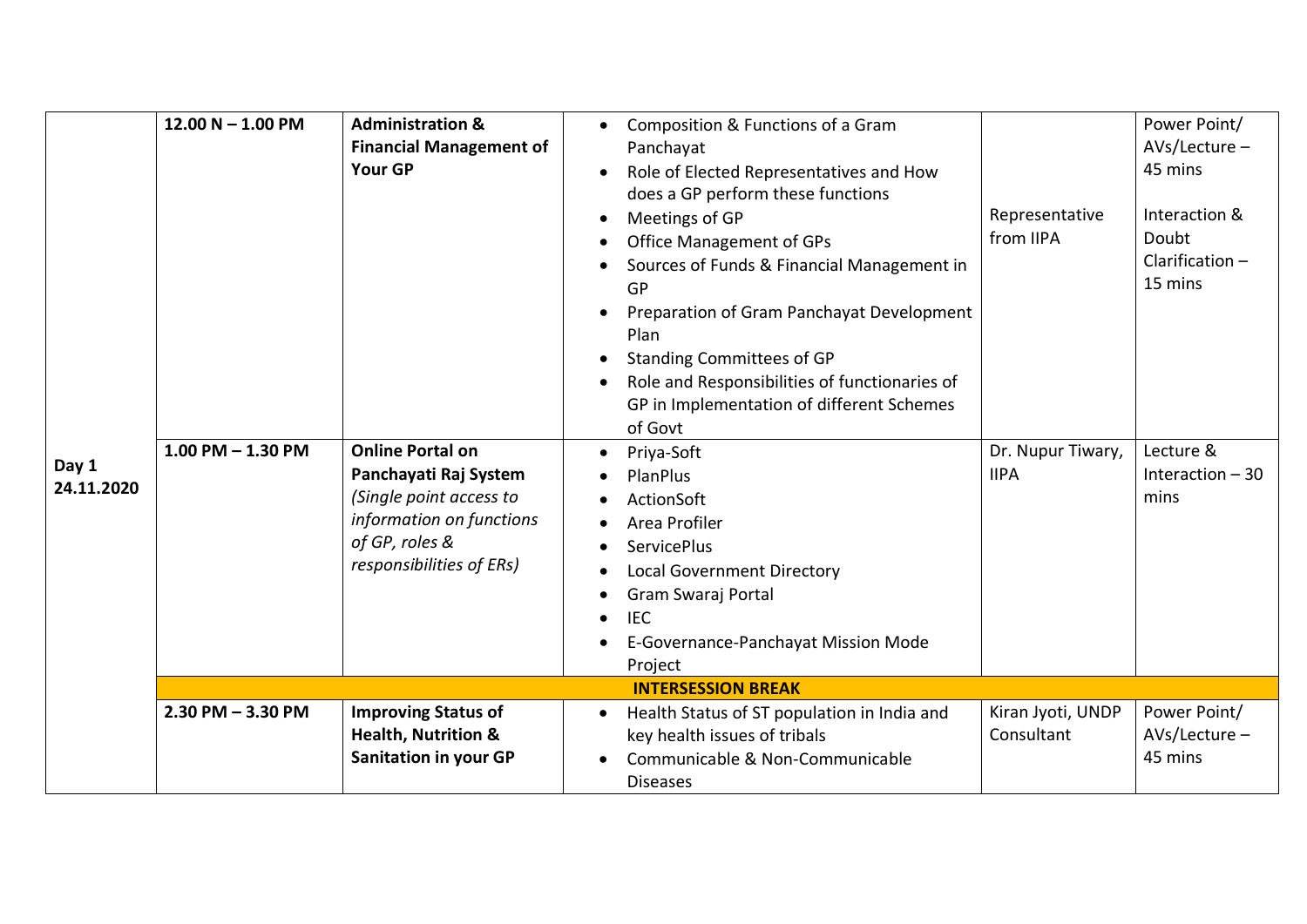| Day 1<br>24.11.2020 | $12.00 N - 1.00 PM$<br>$1.00$ PM $- 1.30$ PM | <b>Administration &amp;</b><br><b>Financial Management of</b><br><b>Your GP</b><br><b>Online Portal on</b><br>Panchayati Raj System<br>(Single point access to<br>information on functions<br>of GP, roles &<br>responsibilities of ERs) | Composition & Functions of a Gram<br>Panchayat<br>Role of Elected Representatives and How<br>does a GP perform these functions<br>Meetings of GP<br><b>Office Management of GPs</b><br>Sources of Funds & Financial Management in<br>GP<br>Preparation of Gram Panchayat Development<br>Plan<br><b>Standing Committees of GP</b><br>Role and Responsibilities of functionaries of<br>GP in Implementation of different Schemes<br>of Govt<br>Priya-Soft<br>PlanPlus<br>ActionSoft<br>Area Profiler<br><b>ServicePlus</b><br><b>Local Government Directory</b><br>Gram Swaraj Portal<br><b>IEC</b><br>E-Governance-Panchayat Mission Mode<br>Project | Representative<br>from IIPA<br>Dr. Nupur Tiwary,<br><b>IIPA</b> | Power Point/<br>$AVs/$ Lecture –<br>45 mins<br>Interaction &<br>Doubt<br>Clarification $-$<br>15 mins<br>Lecture &<br>Interaction $-30$<br>mins |
|---------------------|----------------------------------------------|------------------------------------------------------------------------------------------------------------------------------------------------------------------------------------------------------------------------------------------|-----------------------------------------------------------------------------------------------------------------------------------------------------------------------------------------------------------------------------------------------------------------------------------------------------------------------------------------------------------------------------------------------------------------------------------------------------------------------------------------------------------------------------------------------------------------------------------------------------------------------------------------------------|-----------------------------------------------------------------|-------------------------------------------------------------------------------------------------------------------------------------------------|
|                     |                                              |                                                                                                                                                                                                                                          | <b>INTERSESSION BREAK</b>                                                                                                                                                                                                                                                                                                                                                                                                                                                                                                                                                                                                                           |                                                                 |                                                                                                                                                 |
|                     | $2.30$ PM $- 3.30$ PM                        | <b>Improving Status of</b><br><b>Health, Nutrition &amp;</b><br><b>Sanitation in your GP</b>                                                                                                                                             | Health Status of ST population in India and<br>$\bullet$<br>key health issues of tribals<br>Communicable & Non-Communicable<br><b>Diseases</b>                                                                                                                                                                                                                                                                                                                                                                                                                                                                                                      | Kiran Jyoti, UNDP<br>Consultant                                 | Power Point/<br>AVs/Lecture -<br>45 mins                                                                                                        |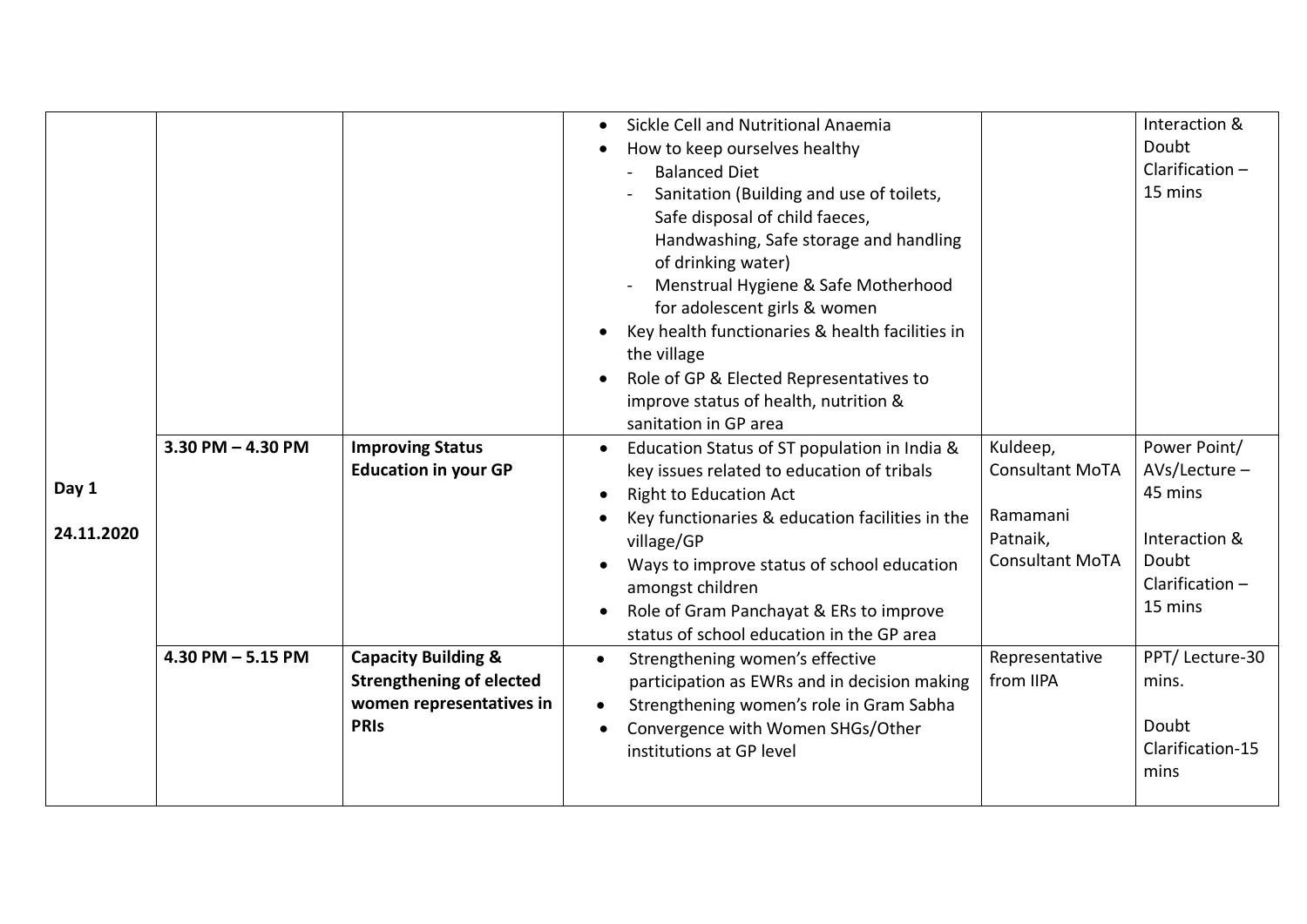| Day 1<br>24.11.2020 | $3.30$ PM $- 4.30$ PM<br>$4.30$ PM $- 5.15$ PM | <b>Improving Status</b><br><b>Education in your GP</b><br><b>Capacity Building &amp;</b><br><b>Strengthening of elected</b><br>women representatives in<br><b>PRIS</b> | Sickle Cell and Nutritional Anaemia<br>$\bullet$<br>How to keep ourselves healthy<br><b>Balanced Diet</b><br>Sanitation (Building and use of toilets,<br>Safe disposal of child faeces,<br>Handwashing, Safe storage and handling<br>of drinking water)<br>Menstrual Hygiene & Safe Motherhood<br>for adolescent girls & women<br>Key health functionaries & health facilities in<br>the village<br>Role of GP & Elected Representatives to<br>improve status of health, nutrition &<br>sanitation in GP area<br>Education Status of ST population in India &<br>$\bullet$<br>key issues related to education of tribals<br><b>Right to Education Act</b><br>Key functionaries & education facilities in the<br>village/GP<br>Ways to improve status of school education<br>amongst children<br>Role of Gram Panchayat & ERs to improve<br>status of school education in the GP area<br>Strengthening women's effective<br>$\bullet$<br>participation as EWRs and in decision making<br>Strengthening women's role in Gram Sabha<br>$\bullet$<br>Convergence with Women SHGs/Other | Kuldeep,<br><b>Consultant MoTA</b><br>Ramamani<br>Patnaik,<br><b>Consultant MoTA</b><br>Representative<br>from IIPA | Interaction &<br>Doubt<br>Clarification $-$<br>15 mins<br>Power Point/<br>$AVs/Lecture -$<br>45 mins<br>Interaction &<br>Doubt<br>Clarification $-$<br>15 mins<br>PPT/ Lecture-30<br>mins.<br>Doubt |
|---------------------|------------------------------------------------|------------------------------------------------------------------------------------------------------------------------------------------------------------------------|------------------------------------------------------------------------------------------------------------------------------------------------------------------------------------------------------------------------------------------------------------------------------------------------------------------------------------------------------------------------------------------------------------------------------------------------------------------------------------------------------------------------------------------------------------------------------------------------------------------------------------------------------------------------------------------------------------------------------------------------------------------------------------------------------------------------------------------------------------------------------------------------------------------------------------------------------------------------------------------------------------------------------------------------------------------------------------|---------------------------------------------------------------------------------------------------------------------|-----------------------------------------------------------------------------------------------------------------------------------------------------------------------------------------------------|
|                     |                                                |                                                                                                                                                                        |                                                                                                                                                                                                                                                                                                                                                                                                                                                                                                                                                                                                                                                                                                                                                                                                                                                                                                                                                                                                                                                                                    |                                                                                                                     |                                                                                                                                                                                                     |
|                     |                                                |                                                                                                                                                                        |                                                                                                                                                                                                                                                                                                                                                                                                                                                                                                                                                                                                                                                                                                                                                                                                                                                                                                                                                                                                                                                                                    |                                                                                                                     |                                                                                                                                                                                                     |
|                     |                                                |                                                                                                                                                                        | institutions at GP level                                                                                                                                                                                                                                                                                                                                                                                                                                                                                                                                                                                                                                                                                                                                                                                                                                                                                                                                                                                                                                                           |                                                                                                                     | Clarification-15<br>mins                                                                                                                                                                            |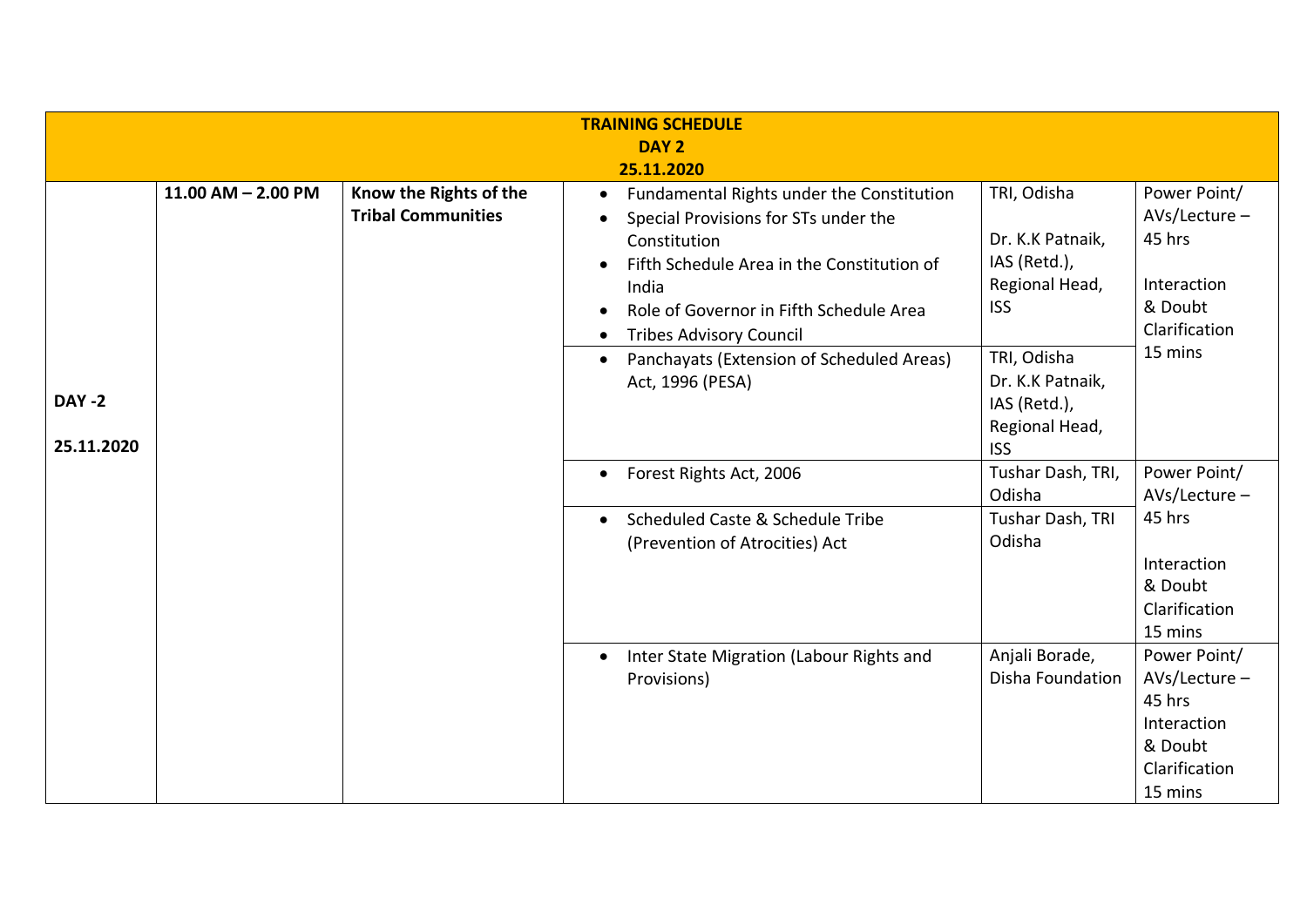| <b>TRAINING SCHEDULE</b><br>DAY <sub>2</sub><br>25.11.2020 |                        |                                                     |                                                                                                                                                                                                                                                                                                 |                                                                                                |                                                                                                  |  |
|------------------------------------------------------------|------------------------|-----------------------------------------------------|-------------------------------------------------------------------------------------------------------------------------------------------------------------------------------------------------------------------------------------------------------------------------------------------------|------------------------------------------------------------------------------------------------|--------------------------------------------------------------------------------------------------|--|
|                                                            | $11.00$ AM $- 2.00$ PM | Know the Rights of the<br><b>Tribal Communities</b> | Fundamental Rights under the Constitution<br>$\bullet$<br>Special Provisions for STs under the<br>Constitution<br>Fifth Schedule Area in the Constitution of<br>India<br>Role of Governor in Fifth Schedule Area<br><b>Tribes Advisory Council</b><br>Panchayats (Extension of Scheduled Areas) | TRI, Odisha<br>Dr. K.K Patnaik,<br>IAS (Retd.),<br>Regional Head,<br><b>ISS</b><br>TRI, Odisha | Power Point/<br>$AVs/$ Lecture –<br>45 hrs<br>Interaction<br>& Doubt<br>Clarification<br>15 mins |  |
| <b>DAY -2</b><br>25.11.2020                                |                        |                                                     | Act, 1996 (PESA)                                                                                                                                                                                                                                                                                | Dr. K.K Patnaik,<br>IAS (Retd.),<br>Regional Head,<br><b>ISS</b>                               |                                                                                                  |  |
|                                                            |                        |                                                     | Forest Rights Act, 2006<br>$\bullet$                                                                                                                                                                                                                                                            | Tushar Dash, TRI,<br>Odisha                                                                    | Power Point/<br>AVs/Lecture-                                                                     |  |
|                                                            |                        |                                                     | Scheduled Caste & Schedule Tribe<br>$\bullet$<br>(Prevention of Atrocities) Act                                                                                                                                                                                                                 | Tushar Dash, TRI<br>Odisha                                                                     | 45 hrs<br>Interaction<br>& Doubt<br>Clarification<br>15 mins                                     |  |
|                                                            |                        |                                                     | Inter State Migration (Labour Rights and<br>Provisions)                                                                                                                                                                                                                                         | Anjali Borade,<br>Disha Foundation                                                             | Power Point/<br>$AVs/$ Lecture –<br>45 hrs<br>Interaction<br>& Doubt<br>Clarification<br>15 mins |  |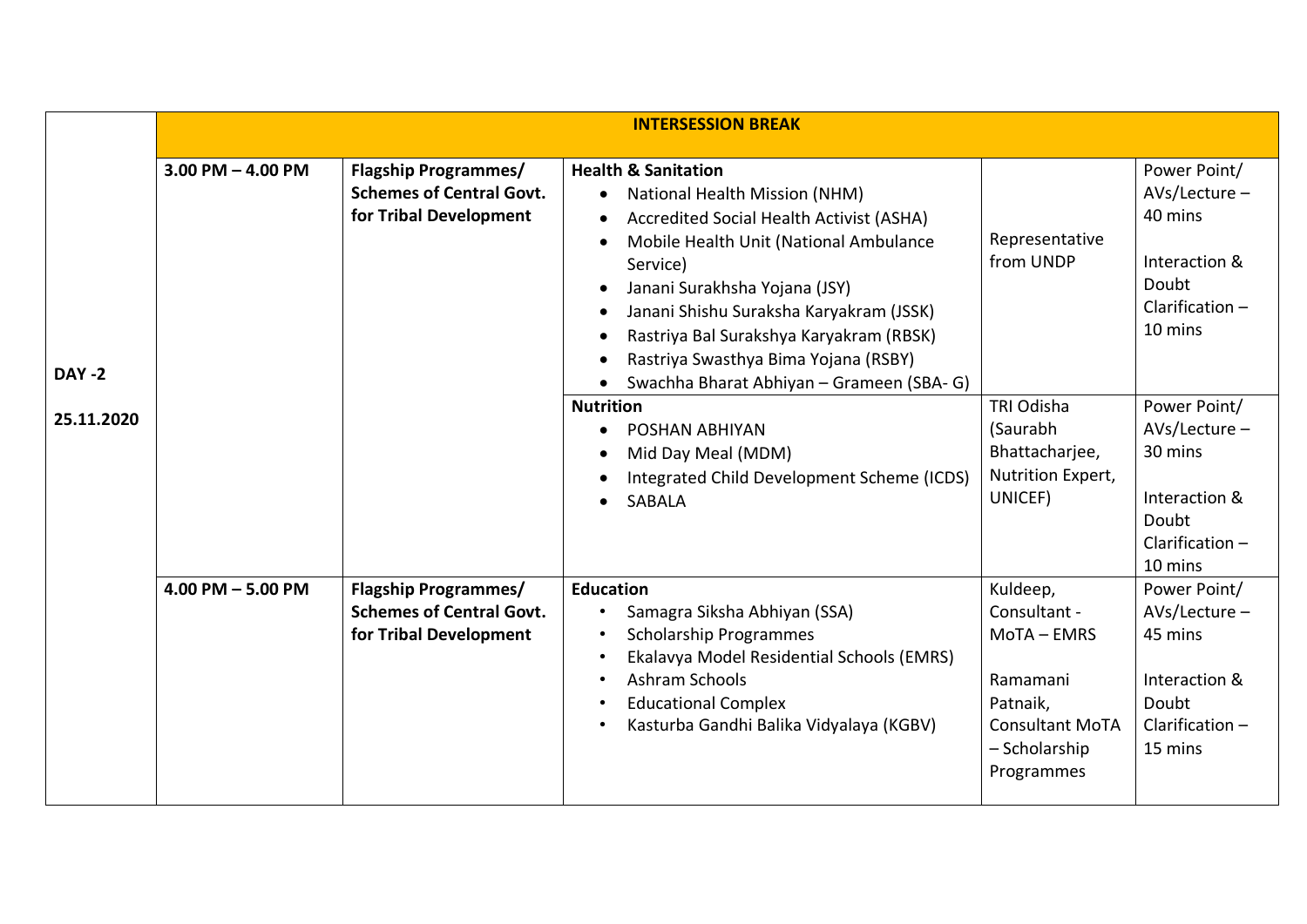|                             |                       | <b>INTERSESSION BREAK</b>                                                                |                                                                                                                                                                                                                                                                                                                                                                                                                                                                          |                                                                                                                          |                                                                                                      |  |
|-----------------------------|-----------------------|------------------------------------------------------------------------------------------|--------------------------------------------------------------------------------------------------------------------------------------------------------------------------------------------------------------------------------------------------------------------------------------------------------------------------------------------------------------------------------------------------------------------------------------------------------------------------|--------------------------------------------------------------------------------------------------------------------------|------------------------------------------------------------------------------------------------------|--|
| <b>DAY -2</b><br>25.11.2020 | $3.00$ PM $-$ 4.00 PM | <b>Flagship Programmes/</b><br><b>Schemes of Central Govt.</b><br>for Tribal Development | <b>Health &amp; Sanitation</b><br>National Health Mission (NHM)<br>$\bullet$<br>Accredited Social Health Activist (ASHA)<br>$\bullet$<br>Mobile Health Unit (National Ambulance<br>$\bullet$<br>Service)<br>Janani Surakhsha Yojana (JSY)<br>$\bullet$<br>Janani Shishu Suraksha Karyakram (JSSK)<br>$\bullet$<br>Rastriya Bal Surakshya Karyakram (RBSK)<br>$\bullet$<br>Rastriya Swasthya Bima Yojana (RSBY)<br>Swachha Bharat Abhiyan - Grameen (SBA- G)<br>$\bullet$ | Representative<br>from UNDP                                                                                              | Power Point/<br>AVs/Lecture-<br>40 mins<br>Interaction &<br>Doubt<br>Clarification $-$<br>10 mins    |  |
|                             |                       |                                                                                          | <b>Nutrition</b><br>POSHAN ABHIYAN<br>$\bullet$<br>Mid Day Meal (MDM)<br>$\bullet$<br>Integrated Child Development Scheme (ICDS)<br>$\bullet$<br><b>SABALA</b><br>$\bullet$                                                                                                                                                                                                                                                                                              | <b>TRI Odisha</b><br>(Saurabh<br>Bhattacharjee,<br>Nutrition Expert,<br>UNICEF)                                          | Power Point/<br>$AVs/Lecture -$<br>30 mins<br>Interaction &<br>Doubt<br>Clarification $-$<br>10 mins |  |
|                             | $4.00$ PM $-$ 5.00 PM | <b>Flagship Programmes/</b><br><b>Schemes of Central Govt.</b><br>for Tribal Development | <b>Education</b><br>Samagra Siksha Abhiyan (SSA)<br><b>Scholarship Programmes</b><br>$\bullet$<br>Ekalavya Model Residential Schools (EMRS)<br>$\bullet$<br>Ashram Schools<br>$\bullet$<br><b>Educational Complex</b><br>$\bullet$<br>Kasturba Gandhi Balika Vidyalaya (KGBV)<br>$\bullet$                                                                                                                                                                               | Kuldeep,<br>Consultant -<br>MoTA - EMRS<br>Ramamani<br>Patnaik,<br><b>Consultant MoTA</b><br>- Scholarship<br>Programmes | Power Point/<br>$AVs/Lecture -$<br>45 mins<br>Interaction &<br>Doubt<br>Clarification $-$<br>15 mins |  |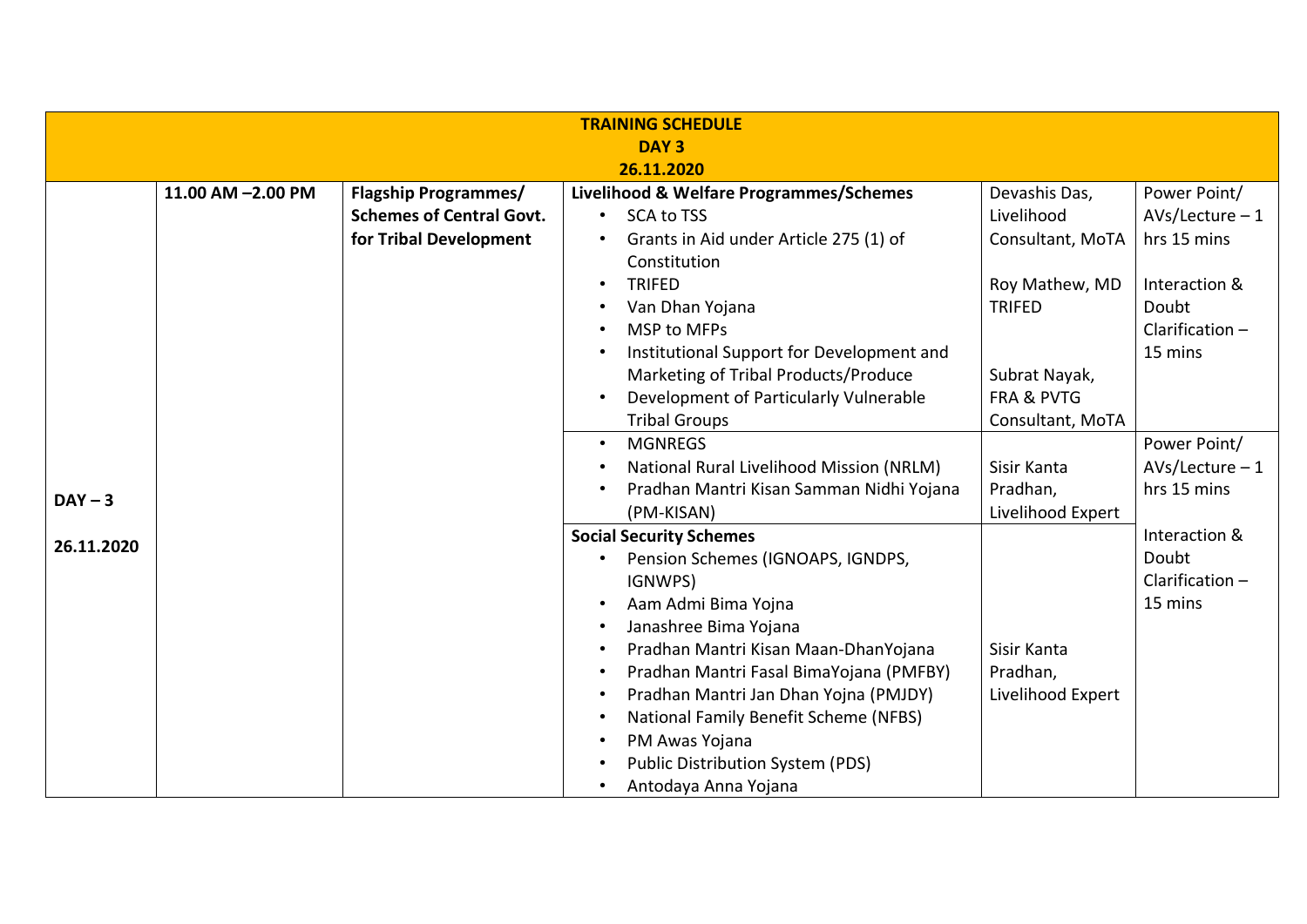| <b>TRAINING SCHEDULE</b><br>DAY <sub>3</sub> |                   |                                                                                          |                                                                                                                                                                                                                                                                                                                                                                                   |                                                                                                            |                                                                                  |  |
|----------------------------------------------|-------------------|------------------------------------------------------------------------------------------|-----------------------------------------------------------------------------------------------------------------------------------------------------------------------------------------------------------------------------------------------------------------------------------------------------------------------------------------------------------------------------------|------------------------------------------------------------------------------------------------------------|----------------------------------------------------------------------------------|--|
|                                              |                   |                                                                                          | 26.11.2020                                                                                                                                                                                                                                                                                                                                                                        |                                                                                                            |                                                                                  |  |
|                                              | 11.00 AM -2.00 PM | <b>Flagship Programmes/</b><br><b>Schemes of Central Govt.</b><br>for Tribal Development | Livelihood & Welfare Programmes/Schemes<br><b>SCA to TSS</b><br>Grants in Aid under Article 275 (1) of<br>Constitution<br><b>TRIFED</b><br>Van Dhan Yojana                                                                                                                                                                                                                        | Devashis Das,<br>Livelihood<br>Consultant, MoTA<br>Roy Mathew, MD<br><b>TRIFED</b>                         | Power Point/<br>$AVs/lecture - 1$<br>hrs 15 mins<br>Interaction &<br>Doubt       |  |
| $DAY - 3$                                    |                   |                                                                                          | <b>MSP to MFPs</b><br>Institutional Support for Development and<br>Marketing of Tribal Products/Produce<br>Development of Particularly Vulnerable<br><b>Tribal Groups</b><br><b>MGNREGS</b><br>$\bullet$<br>National Rural Livelihood Mission (NRLM)<br>Pradhan Mantri Kisan Samman Nidhi Yojana<br>(PM-KISAN)                                                                    | Subrat Nayak,<br><b>FRA &amp; PVTG</b><br>Consultant, MoTA<br>Sisir Kanta<br>Pradhan,<br>Livelihood Expert | Clarification $-$<br>15 mins<br>Power Point/<br>$AVs/lecture - 1$<br>hrs 15 mins |  |
| 26.11.2020                                   |                   |                                                                                          | <b>Social Security Schemes</b><br>Pension Schemes (IGNOAPS, IGNDPS,<br>IGNWPS)<br>Aam Admi Bima Yojna<br>Janashree Bima Yojana<br>Pradhan Mantri Kisan Maan-DhanYojana<br>Pradhan Mantri Fasal BimaYojana (PMFBY)<br>Pradhan Mantri Jan Dhan Yojna (PMJDY)<br>National Family Benefit Scheme (NFBS)<br>PM Awas Yojana<br>Public Distribution System (PDS)<br>Antodaya Anna Yojana | Sisir Kanta<br>Pradhan,<br>Livelihood Expert                                                               | Interaction &<br>Doubt<br>Clarification-<br>15 mins                              |  |